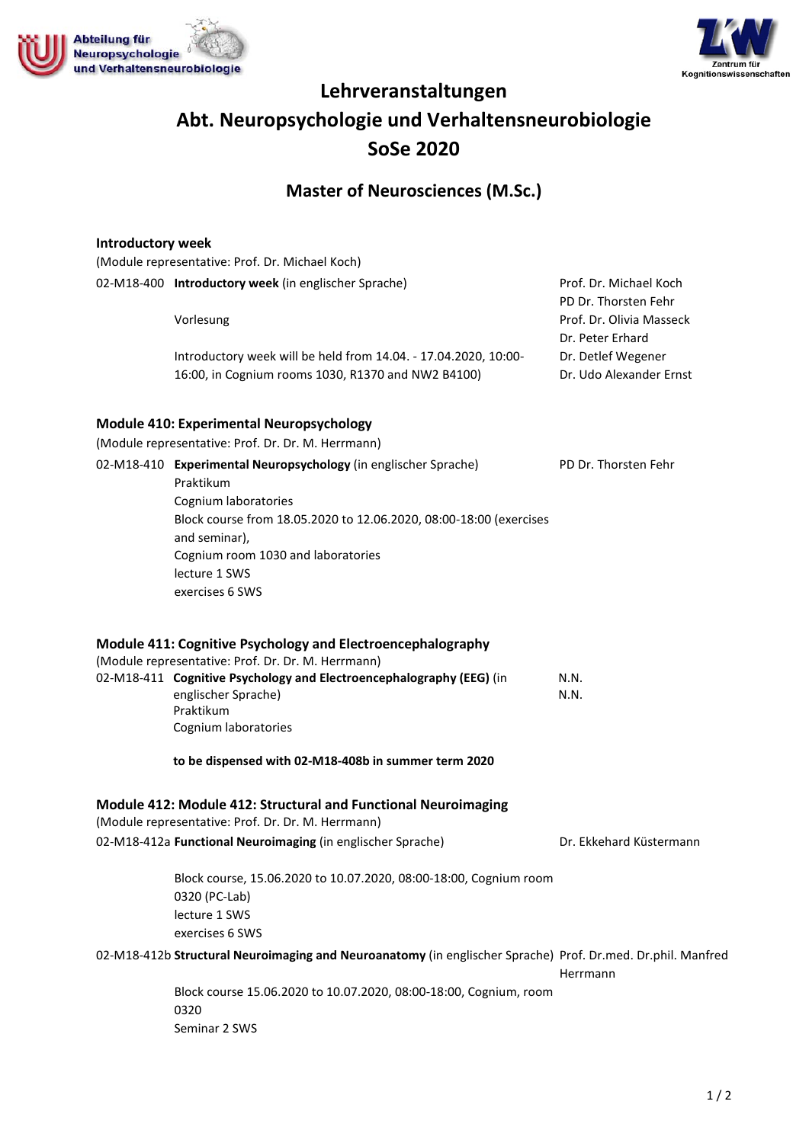



# **Lehrveranstaltungen Abt. Neuropsychologie und Verhaltensneurobiologie SoSe 2020**

# **Master of Neurosciences (M.Sc.)**

#### **Introductory week**

| (Module representative: Prof. Dr. Michael Koch)      |
|------------------------------------------------------|
| 02-M18-400 Introductory week (in englischer Sprache) |

Vorlesung

Introductory week will be held from 14.04. - 17.04.2020, 10:00- 16:00, in Cognium rooms 1030, R1370 and NW2 B4100)

Prof. Dr. Michael Koch PD Dr. Thorsten Fehr Prof. Dr. Olivia Masseck Dr. Peter Erhard Dr. Detlef Wegener Dr. Udo Alexander Ernst

### **Module 410: Experimental Neuropsychology**

(Module representative: Prof. Dr. Dr. M. Herrmann)

02-M18-410 **Experimental Neuropsychology** (in englischer Sprache) Praktikum Cognium laboratories Block course from 18.05.2020 to 12.06.2020, 08:00-18:00 (exercises and seminar), Cognium room 1030 and laboratories lecture 1 SWS exercises 6 SWS PD Dr. Thorsten Fehr **Module 411: Cognitive Psychology and Electroencephalography**  (Module representative: Prof. Dr. Dr. M. Herrmann)

| 117100016 TCD1 CSCIILOLIVC: TTOI: DT: DT: IVI: TICITIIIQIIII)        |      |
|----------------------------------------------------------------------|------|
| 02-M18-411 Cognitive Psychology and Electroencephalography (EEG) (in | N.N. |
| englischer Sprache)                                                  | N.N. |
| Praktikum                                                            |      |
| Cognium laboratories                                                 |      |

**to be dispensed with 02-M18-408b in summer term 2020**

#### **Module 412: Module 412: Structural and Functional Neuroimaging**

(Module representative: Prof. Dr. Dr. M. Herrmann) 02-M18-412a **Functional Neuroimaging** (in englischer Sprache)

Dr. Ekkehard Küstermann

Herrmann

Block course, 15.06.2020 to 10.07.2020, 08:00-18:00, Cognium room 0320 (PC-Lab) lecture 1 SWS exercises 6 SWS

02-M18-412b **Structural Neuroimaging and Neuroanatomy** (in englischer Sprache) Prof. Dr.med. Dr.phil. Manfred

Block course 15.06.2020 to 10.07.2020, 08:00-18:00, Cognium, room 0320 Seminar 2 SWS